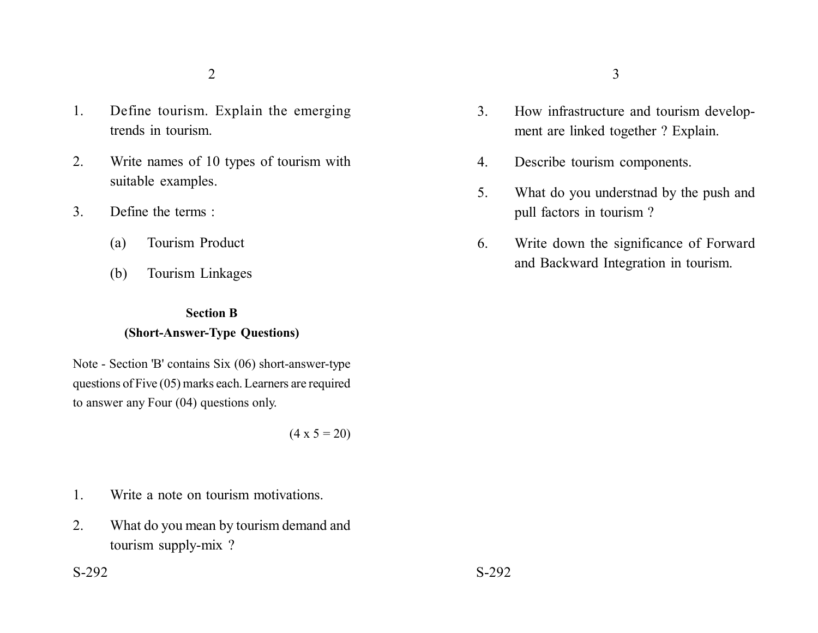- 1. Define tourism. Explain the emerging trends in tourism.
- 2. Write names of 10 types of tourism with suitable examples.
- 3. Define the terms :
	- (a) Tourism Product
	- (b) Tourism Linkages

### **Section B**

## **(Short-Answer-Type Questions)**

Note - Section 'B' contains Six (06) short-answer-type questions of Five (05) marks each. Learners are required to answer any Four (04) questions only.

 $(4 \times 5 = 20)$ 

- 1. Write a note on tourism motivations.
- 2. What do you mean by tourism demand and tourism supply-mix ?
- 3. How infrastructure and tourism development are linked together ? Explain.
- 4. Describe tourism components.
- 5. What do you understnad by the push and pull factors in tourism ?
- 6. Write down the significance of Forward and Backward Integration in tourism.